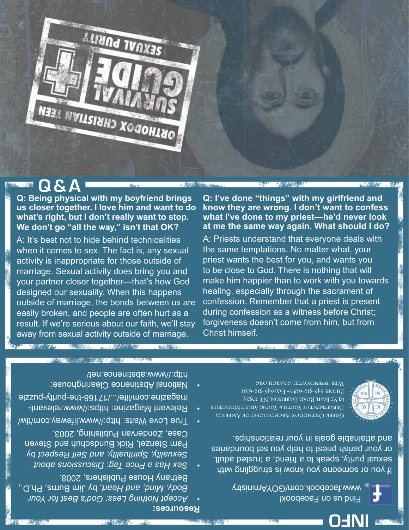

## **Q & A**

**SECONDAY** 

**Q: Being physical with my boyfriend brings us closer together. I love him and want to do what's right, but I don't really want to stop. We don't go "all the way," isn't that OK?**

A: It's best not to hide behind technicalities when it comes to sex. The fact is, any sexual activity is inappropriate for those outside of marriage. Sexual activity does bring you and your partner closer together—that's how God designed our sexuality. When this happens outside of marriage, the bonds between us are easily broken, and people are often hurt as a result. If we're serious about our faith, we'll stay away from sexual activity outside of marriage.

「大阪馬台にし」 ここ、九九九九九九日

**WEIGHT CANS** 

**Q: I've done "things" with my girlfriend and know they are wrong. I don't want to confess what I've done to my priest—he'd never look at me the same way again. What should I do?**

A: Priests understand that everyone deals with the same temptations. No matter what, your priest wants the best for you, and wants you to be close to God. There is nothing that will make him happier than to work with you towards healing, especially through the sacrament of confession. Remember that a priest is present during confession as a witness before Christ; forgiveness doesn't come from him, but from Christ himself.



つん ほぼこ

**INFO**

Мев: www.youth.goarch.org I6I9-6IS-979 : XVI . OgI9-6IS-979 : INOHJ 83 ST BASIL ROAD, GARRISON, NY IOS24 DEPARTMENT OF YOU'R & YOUNG ADULT MINISTRIES Свеек Октнорох Авснріосеѕе оғ Амевіса

If you or someone you know is struggling with sexual purity, speak to a friend, a trusted adult, or your parish priest to help you set boundaries and attainable goals in your relationships.

> Find us on Facebook! www.facebook.com/GOYAministry

- http://www.abstinence.net/
- 

Pam Stenzel, Rick Bundschuh and Steven Case, Zondervan Publishing, 2003.

*Hothing* Less: *God's* Best for *Your* , by Jim Burns, Ph.D., *Heart and Mind, Body,*

*about Discussions Tag: Price <sup>a</sup> Has Sex •*  by *Respect Self and Spirituality, Sexuality,*

Bethany House Publishers, 2008.

**まで全て リンティー** 

- 
- True Love Waits: http://www.lifeway.com/tlw/ Relevant Magazine: https://www.relevant-

magazine.com/life/.../1716-the-purity-puzzle

National Abstinence Clearinghouse:

**Resources:**